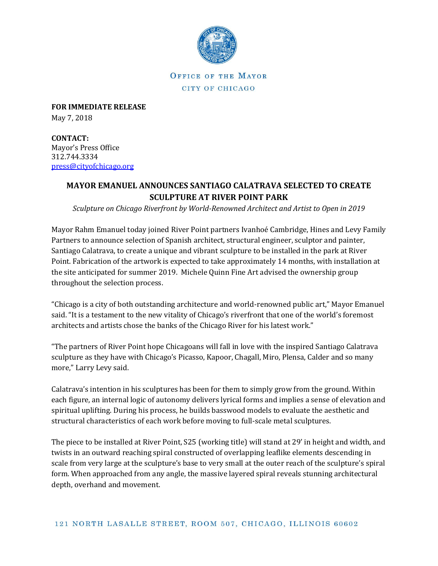

OFFICE OF THE MAYOR CITY OF CHICAGO

**FOR IMMEDIATE RELEASE** May 7, 2018

**CONTACT:** Mayor's Press Office 312.744.3334 [press@cityofchicago.org](mailto:press@cityofchicago.org)

## **MAYOR EMANUEL ANNOUNCES SANTIAGO CALATRAVA SELECTED TO CREATE SCULPTURE AT RIVER POINT PARK**

*Sculpture on Chicago Riverfront by World-Renowned Architect and Artist to Open in 2019*

Mayor Rahm Emanuel today joined River Point partners Ivanhoé Cambridge, Hines and Levy Family Partners to announce selection of Spanish architect, structural engineer, sculptor and painter, Santiago Calatrava, to create a unique and vibrant sculpture to be installed in the park at River Point. Fabrication of the artwork is expected to take approximately 14 months, with installation at the site anticipated for summer 2019. Michele Quinn Fine Art advised the ownership group throughout the selection process.

"Chicago is a city of both outstanding architecture and world-renowned public art," Mayor Emanuel said. "It is a testament to the new vitality of Chicago's riverfront that one of the world's foremost architects and artists chose the banks of the Chicago River for his latest work."

"The partners of River Point hope Chicagoans will fall in love with the inspired Santiago Calatrava sculpture as they have with Chicago's Picasso, Kapoor, Chagall, Miro, Plensa, Calder and so many more," Larry Levy said.

Calatrava's intention in his sculptures has been for them to simply grow from the ground. Within each figure, an internal logic of autonomy delivers lyrical forms and implies a sense of elevation and spiritual uplifting. During his process, he builds basswood models to evaluate the aesthetic and structural characteristics of each work before moving to full-scale metal sculptures.

The piece to be installed at River Point, S25 (working title) will stand at 29' in height and width, and twists in an outward reaching spiral constructed of overlapping leaflike elements descending in scale from very large at the sculpture's base to very small at the outer reach of the sculpture's spiral form. When approached from any angle, the massive layered spiral reveals stunning architectural depth, overhand and movement.